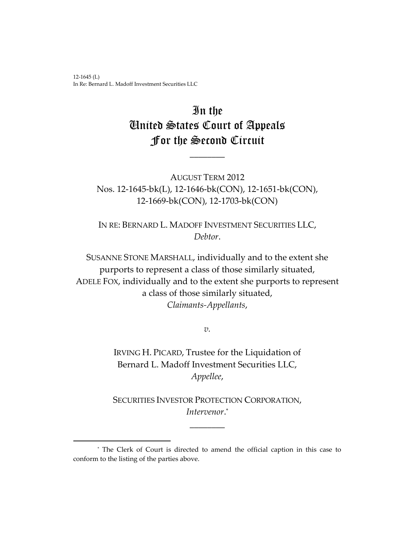12-1645 (L) In Re: Bernard L. Madoff Investment Securities LLC

l

# In the United States Court of Appeals For the Second Circuit

 $\overline{\phantom{a}}$ 

AUGUST TERM 2012 Nos. 12-1645-bk(L), 12-1646-bk(CON), 12-1651-bk(CON), 12-1669-bk(CON), 12-1703-bk(CON)

IN RE: BERNARD L. MADOFF INVESTMENT SECURITIES LLC, *Debtor*.

SUSANNE STONE MARSHALL, individually and to the extent she purports to represent a class of those similarly situated, ADELE FOX, individually and to the extent she purports to represent a class of those similarly situated, *Claimants-Appellants*,

*v.*

IRVING H. PICARD, Trustee for the Liquidation of Bernard L. Madoff Investment Securities LLC, *Appellee*,

SECURITIES INVESTOR PROTECTION CORPORATION, *Intervenor*. \*

\_\_\_\_\_\_\_\_

<sup>\*</sup> The Clerk of Court is directed to amend the official caption in this case to conform to the listing of the parties above.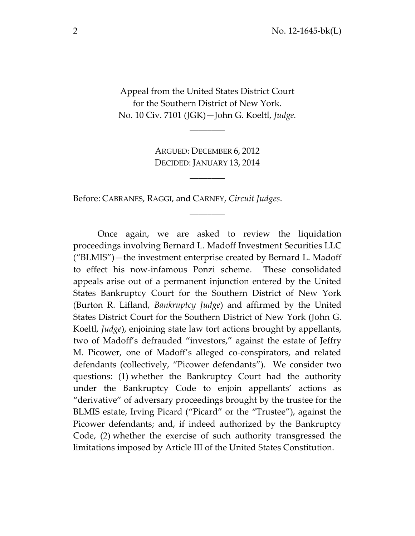Appeal from the United States District Court for the Southern District of New York. No. 10 Civ. 7101 (JGK)—John G. Koeltl, *Judge.*

\_\_\_\_\_\_\_\_

ARGUED: DECEMBER 6, 2012 DECIDED: JANUARY 13, 2014

\_\_\_\_\_\_\_\_

 $\overline{\phantom{a}}$ 

Before: CABRANES, RAGGI, and CARNEY, *Circuit Judges*.

Once again, we are asked to review the liquidation proceedings involving Bernard L. Madoff Investment Securities LLC ("BLMIS")—the investment enterprise created by Bernard L. Madoff to effect his now-infamous Ponzi scheme. These consolidated appeals arise out of a permanent injunction entered by the United States Bankruptcy Court for the Southern District of New York (Burton R. Lifland, *Bankruptcy Judge*) and affirmed by the United States District Court for the Southern District of New York (John G. Koeltl, *Judge*), enjoining state law tort actions brought by appellants, two of Madoff's defrauded "investors," against the estate of Jeffry M. Picower, one of Madoff's alleged co-conspirators, and related defendants (collectively, "Picower defendants"). We consider two questions: (1) whether the Bankruptcy Court had the authority under the Bankruptcy Code to enjoin appellants' actions as "derivative" of adversary proceedings brought by the trustee for the BLMIS estate, Irving Picard ("Picard" or the "Trustee"), against the Picower defendants; and, if indeed authorized by the Bankruptcy Code, (2) whether the exercise of such authority transgressed the limitations imposed by Article III of the United States Constitution.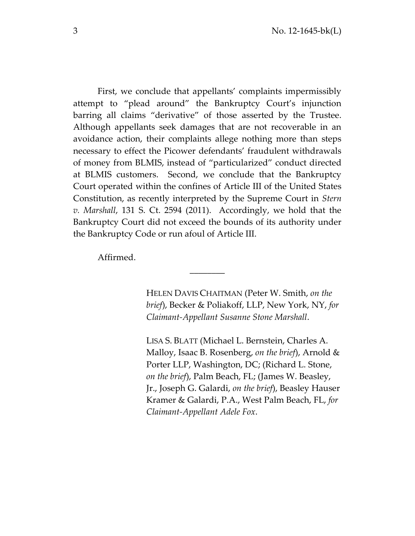First, we conclude that appellants' complaints impermissibly attempt to "plead around" the Bankruptcy Court's injunction barring all claims "derivative" of those asserted by the Trustee. Although appellants seek damages that are not recoverable in an avoidance action, their complaints allege nothing more than steps necessary to effect the Picower defendants' fraudulent withdrawals of money from BLMIS, instead of "particularized" conduct directed at BLMIS customers. Second, we conclude that the Bankruptcy Court operated within the confines of Article III of the United States Constitution, as recently interpreted by the Supreme Court in *Stern v. Marshall*, 131 S. Ct. 2594 (2011). Accordingly, we hold that the Bankruptcy Court did not exceed the bounds of its authority under the Bankruptcy Code or run afoul of Article III.

\_\_\_\_\_\_\_\_

Affirmed.

HELEN DAVIS CHAITMAN (Peter W. Smith, *on the brief*), Becker & Poliakoff, LLP, New York, NY, *for Claimant-Appellant Susanne Stone Marshall*.

LISA S. BLATT (Michael L. Bernstein, Charles A. Malloy, Isaac B. Rosenberg, *on the brief*), Arnold & Porter LLP, Washington, DC; (Richard L. Stone, *on the brief*), Palm Beach, FL; (James W. Beasley, Jr., Joseph G. Galardi, *on the brief*), Beasley Hauser Kramer & Galardi, P.A., West Palm Beach, FL, *for Claimant-Appellant Adele Fox*.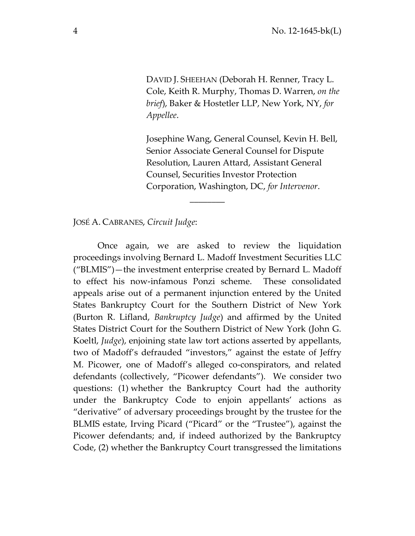DAVID J. SHEEHAN (Deborah H. Renner, Tracy L. Cole, Keith R. Murphy, Thomas D. Warren, *on the brief*), Baker & Hostetler LLP, New York, NY, *for Appellee*.

Josephine Wang, General Counsel, Kevin H. Bell, Senior Associate General Counsel for Dispute Resolution, Lauren Attard, Assistant General Counsel, Securities Investor Protection Corporation, Washington, DC, *for Intervenor*.

JOSÉ A. CABRANES, *Circuit Judge*:

Once again, we are asked to review the liquidation proceedings involving Bernard L. Madoff Investment Securities LLC ("BLMIS")—the investment enterprise created by Bernard L. Madoff to effect his now-infamous Ponzi scheme. These consolidated appeals arise out of a permanent injunction entered by the United States Bankruptcy Court for the Southern District of New York (Burton R. Lifland, *Bankruptcy Judge*) and affirmed by the United States District Court for the Southern District of New York (John G. Koeltl, *Judge*), enjoining state law tort actions asserted by appellants, two of Madoff's defrauded "investors," against the estate of Jeffry M. Picower, one of Madoff's alleged co-conspirators, and related defendants (collectively, "Picower defendants"). We consider two questions: (1) whether the Bankruptcy Court had the authority under the Bankruptcy Code to enjoin appellants' actions as "derivative" of adversary proceedings brought by the trustee for the BLMIS estate, Irving Picard ("Picard" or the "Trustee"), against the Picower defendants; and, if indeed authorized by the Bankruptcy Code, (2) whether the Bankruptcy Court transgressed the limitations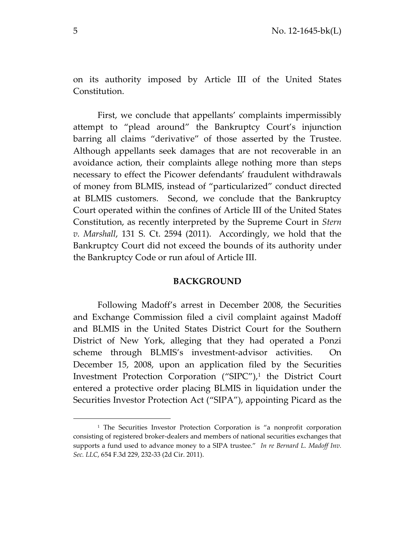on its authority imposed by Article III of the United States Constitution.

First, we conclude that appellants' complaints impermissibly attempt to "plead around" the Bankruptcy Court's injunction barring all claims "derivative" of those asserted by the Trustee. Although appellants seek damages that are not recoverable in an avoidance action, their complaints allege nothing more than steps necessary to effect the Picower defendants' fraudulent withdrawals of money from BLMIS, instead of "particularized" conduct directed at BLMIS customers. Second, we conclude that the Bankruptcy Court operated within the confines of Article III of the United States Constitution, as recently interpreted by the Supreme Court in *Stern v. Marshall*, 131 S. Ct. 2594 (2011). Accordingly, we hold that the Bankruptcy Court did not exceed the bounds of its authority under the Bankruptcy Code or run afoul of Article III.

#### **BACKGROUND**

Following Madoff's arrest in December 2008, the Securities and Exchange Commission filed a civil complaint against Madoff and BLMIS in the United States District Court for the Southern District of New York, alleging that they had operated a Ponzi scheme through BLMIS's investment-advisor activities. On December 15, 2008, upon an application filed by the Securities Investment Protection Corporation ("SIPC"),<sup>1</sup> the District Court entered a protective order placing BLMIS in liquidation under the Securities Investor Protection Act ("SIPA"), appointing Picard as the

l

<sup>&</sup>lt;sup>1</sup> The Securities Investor Protection Corporation is "a nonprofit corporation consisting of registered broker-dealers and members of national securities exchanges that supports a fund used to advance money to a SIPA trustee." *In re Bernard L. Madoff Inv. Sec. LLC*, 654 F.3d 229, 232-33 (2d Cir. 2011).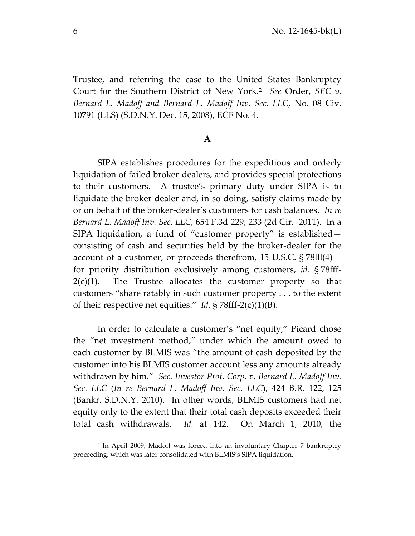Trustee, and referring the case to the United States Bankruptcy Court for the Southern District of New York.<sup>2</sup> *See* Order, *SEC v. Bernard L. Madoff and Bernard L. Madoff Inv. Sec. LLC*, No. 08 Civ. 10791 (LLS) (S.D.N.Y. Dec. 15, 2008), ECF No. 4.

# **A**

SIPA establishes procedures for the expeditious and orderly liquidation of failed broker-dealers, and provides special protections to their customers. A trustee's primary duty under SIPA is to liquidate the broker-dealer and, in so doing, satisfy claims made by or on behalf of the broker-dealer's customers for cash balances. *In re Bernard L. Madoff Inv. Sec. LLC*, 654 F.3d 229, 233 (2d Cir. 2011). In a SIPA liquidation, a fund of "customer property" is established consisting of cash and securities held by the broker-dealer for the account of a customer, or proceeds therefrom, 15 U.S.C. § 78lll(4) for priority distribution exclusively among customers, *id.* § 78fff- $2(c)(1)$ . The Trustee allocates the customer property so that customers "share ratably in such customer property . . . to the extent of their respective net equities." *Id.* § 78fff-2(c)(1)(B).

In order to calculate a customer's "net equity," Picard chose the "net investment method," under which the amount owed to each customer by BLMIS was "the amount of cash deposited by the customer into his BLMIS customer account less any amounts already withdrawn by him." *Sec. Investor Prot. Corp. v. Bernard L. Madoff Inv. Sec. LLC* (*In re Bernard L. Madoff Inv. Sec. LLC*), 424 B.R. 122, 125 (Bankr. S.D.N.Y. 2010). In other words, BLMIS customers had net equity only to the extent that their total cash deposits exceeded their total cash withdrawals. *Id.* at 142. On March 1, 2010, the

l

<sup>2</sup> In April 2009, Madoff was forced into an involuntary Chapter 7 bankruptcy proceeding, which was later consolidated with BLMIS's SIPA liquidation.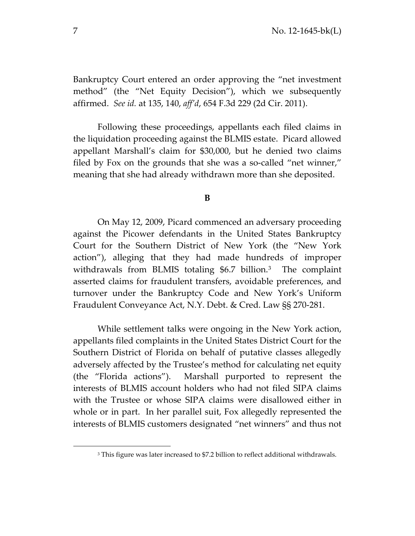Bankruptcy Court entered an order approving the "net investment method" (the "Net Equity Decision"), which we subsequently affirmed. *See id.* at 135, 140, *aff'd*, 654 F.3d 229 (2d Cir. 2011).

Following these proceedings, appellants each filed claims in the liquidation proceeding against the BLMIS estate. Picard allowed appellant Marshall's claim for \$30,000, but he denied two claims filed by Fox on the grounds that she was a so-called "net winner," meaning that she had already withdrawn more than she deposited.

## **B**

On May 12, 2009, Picard commenced an adversary proceeding against the Picower defendants in the United States Bankruptcy Court for the Southern District of New York (the "New York action"), alleging that they had made hundreds of improper withdrawals from BLMIS totaling \$6.7 billion.<sup>3</sup> The complaint asserted claims for fraudulent transfers, avoidable preferences, and turnover under the Bankruptcy Code and New York's Uniform Fraudulent Conveyance Act, N.Y. Debt. & Cred. Law §§ 270-281.

While settlement talks were ongoing in the New York action, appellants filed complaints in the United States District Court for the Southern District of Florida on behalf of putative classes allegedly adversely affected by the Trustee's method for calculating net equity (the "Florida actions"). Marshall purported to represent the interests of BLMIS account holders who had not filed SIPA claims with the Trustee or whose SIPA claims were disallowed either in whole or in part. In her parallel suit, Fox allegedly represented the interests of BLMIS customers designated "net winners" and thus not

<sup>&</sup>lt;sup>3</sup> This figure was later increased to \$7.2 billion to reflect additional withdrawals.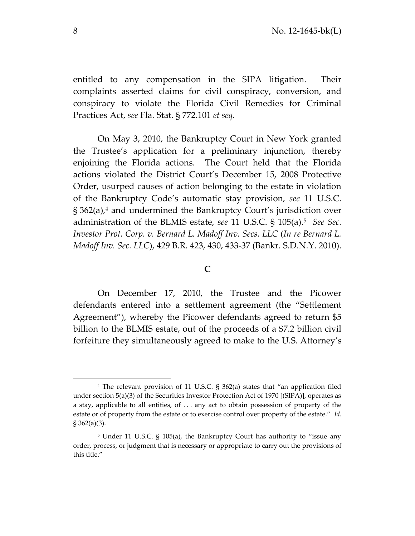entitled to any compensation in the SIPA litigation. Their complaints asserted claims for civil conspiracy, conversion, and conspiracy to violate the Florida Civil Remedies for Criminal Practices Act, *see* Fla. Stat. § 772.101 *et seq.*

On May 3, 2010, the Bankruptcy Court in New York granted the Trustee's application for a preliminary injunction, thereby enjoining the Florida actions. The Court held that the Florida actions violated the District Court's December 15, 2008 Protective Order, usurped causes of action belonging to the estate in violation of the Bankruptcy Code's automatic stay provision, *see* 11 U.S.C. § 362(a), <sup>4</sup> and undermined the Bankruptcy Court's jurisdiction over administration of the BLMIS estate, *see* 11 U.S.C. § 105(a).<sup>5</sup> *See Sec. Investor Prot. Corp. v. Bernard L. Madoff Inv. Secs. LLC* (*In re Bernard L. Madoff Inv. Sec. LLC*), 429 B.R. 423, 430, 433-37 (Bankr. S.D.N.Y. 2010).

#### **C**

On December 17, 2010, the Trustee and the Picower defendants entered into a settlement agreement (the "Settlement Agreement"), whereby the Picower defendants agreed to return \$5 billion to the BLMIS estate, out of the proceeds of a \$7.2 billion civil forfeiture they simultaneously agreed to make to the U.S. Attorney's

<sup>4</sup> The relevant provision of 11 U.S.C. § 362(a) states that "an application filed under section 5(a)(3) of the Securities Investor Protection Act of 1970 [(SIPA)], operates as a stay, applicable to all entities, of . . . any act to obtain possession of property of the estate or of property from the estate or to exercise control over property of the estate." *Id.* § 362(a)(3).

<sup>&</sup>lt;sup>5</sup> Under 11 U.S.C. § 105(a), the Bankruptcy Court has authority to "issue any order, process, or judgment that is necessary or appropriate to carry out the provisions of this title."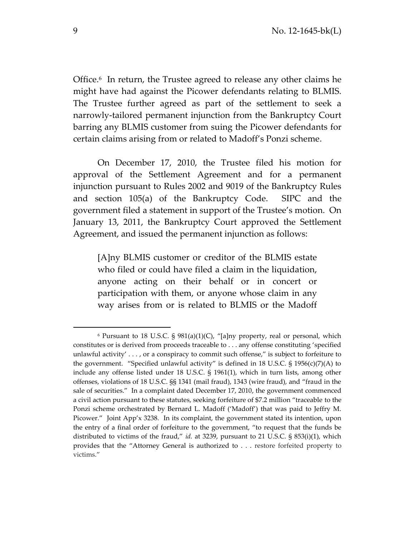Office.<sup>6</sup> In return, the Trustee agreed to release any other claims he might have had against the Picower defendants relating to BLMIS. The Trustee further agreed as part of the settlement to seek a narrowly-tailored permanent injunction from the Bankruptcy Court barring any BLMIS customer from suing the Picower defendants for certain claims arising from or related to Madoff's Ponzi scheme.

On December 17, 2010, the Trustee filed his motion for approval of the Settlement Agreement and for a permanent injunction pursuant to Rules 2002 and 9019 of the Bankruptcy Rules and section 105(a) of the Bankruptcy Code. SIPC and the government filed a statement in support of the Trustee's motion. On January 13, 2011, the Bankruptcy Court approved the Settlement Agreement, and issued the permanent injunction as follows:

[A]ny BLMIS customer or creditor of the BLMIS estate who filed or could have filed a claim in the liquidation, anyone acting on their behalf or in concert or participation with them, or anyone whose claim in any way arises from or is related to BLMIS or the Madoff

<sup>6</sup> Pursuant to 18 U.S.C. § 981(a)(1)(C), "[a]ny property, real or personal, which constitutes or is derived from proceeds traceable to . . . any offense constituting 'specified unlawful activity'  $\dots$ , or a conspiracy to commit such offense," is subject to forfeiture to the government. "Specified unlawful activity" is defined in 18 U.S.C. § 1956(c)(7)(A) to include any offense listed under 18 U.S.C. § 1961(1), which in turn lists, among other offenses, violations of 18 U.S.C. §§ 1341 (mail fraud), 1343 (wire fraud), and "fraud in the sale of securities." In a complaint dated December 17, 2010, the government commenced a civil action pursuant to these statutes, seeking forfeiture of \$7.2 million "traceable to the Ponzi scheme orchestrated by Bernard L. Madoff ('Madoff') that was paid to Jeffry M. Picower." Joint App'x 3238.In its complaint, the government stated its intention, upon the entry of a final order of forfeiture to the government, "to request that the funds be distributed to victims of the fraud," *id.* at 3239, pursuant to 21 U.S.C. § 853(i)(1), which provides that the "Attorney General is authorized to . . . restore forfeited property to victims."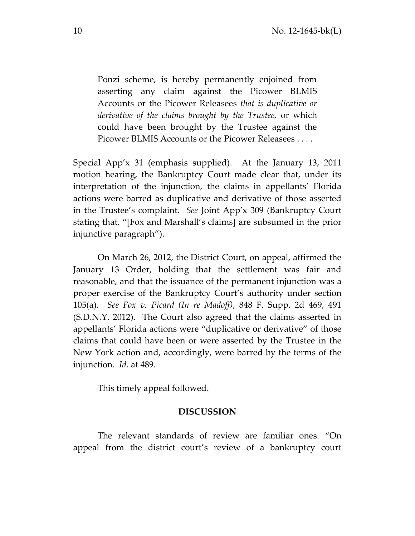Ponzi scheme, is hereby permanently enjoined from asserting any claim against the Picower BLMIS Accounts or the Picower Releasees *that is duplicative or derivative of the claims brought by the Trustee,* or which could have been brought by the Trustee against the Picower BLMIS Accounts or the Picower Releasees . . . .

Special App'x 31 (emphasis supplied). At the January 13, 2011 motion hearing, the Bankruptcy Court made clear that, under its interpretation of the injunction, the claims in appellants' Florida actions were barred as duplicative and derivative of those asserted in the Trustee's complaint. *See* Joint App'x 309 (Bankruptcy Court stating that, "[Fox and Marshall's claims] are subsumed in the prior injunctive paragraph").

On March 26, 2012, the District Court, on appeal, affirmed the January 13 Order, holding that the settlement was fair and reasonable, and that the issuance of the permanent injunction was a proper exercise of the Bankruptcy Court's authority under section 105(a). *See Fox v. Picard (In re Madoff)*, 848 F. Supp. 2d 469, 491 (S.D.N.Y. 2012). The Court also agreed that the claims asserted in appellants' Florida actions were "duplicative or derivative" of those claims that could have been or were asserted by the Trustee in the New York action and, accordingly, were barred by the terms of the injunction. *Id.* at 489.

This timely appeal followed.

## **DISCUSSION**

The relevant standards of review are familiar ones. "On appeal from the district court's review of a bankruptcy court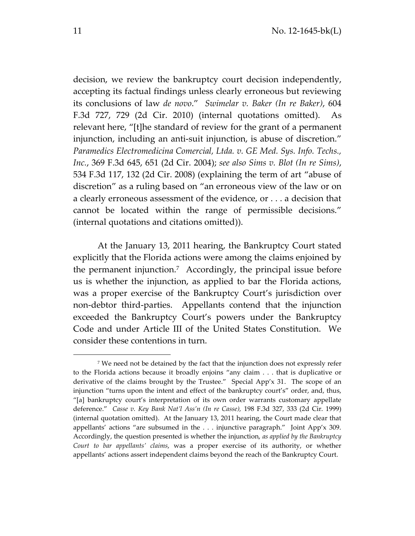decision, we review the bankruptcy court decision independently, accepting its factual findings unless clearly erroneous but reviewing its conclusions of law *de novo*." *Swimelar v. Baker (In re Baker)*, 604 F.3d 727, 729 (2d Cir. 2010) (internal quotations omitted). As relevant here, "[t]he standard of review for the grant of a permanent injunction, including an anti-suit injunction, is abuse of discretion." *Paramedics Electromedicina Comercial, Ltda. v. GE Med. Sys. Info. Techs., Inc.*, 369 F.3d 645, 651 (2d Cir. 2004); *see also Sims v. Blot (In re Sims)*, 534 F.3d 117, 132 (2d Cir. 2008) (explaining the term of art "abuse of discretion" as a ruling based on "an erroneous view of the law or on a clearly erroneous assessment of the evidence, or . . . a decision that cannot be located within the range of permissible decisions." (internal quotations and citations omitted)).

At the January 13, 2011 hearing, the Bankruptcy Court stated explicitly that the Florida actions were among the claims enjoined by the permanent injunction.<sup>7</sup> Accordingly, the principal issue before us is whether the injunction, as applied to bar the Florida actions, was a proper exercise of the Bankruptcy Court's jurisdiction over non-debtor third-parties. Appellants contend that the injunction exceeded the Bankruptcy Court's powers under the Bankruptcy Code and under Article III of the United States Constitution. We consider these contentions in turn.

l

<sup>7</sup> We need not be detained by the fact that the injunction does not expressly refer to the Florida actions because it broadly enjoins "any claim . . . that is duplicative or derivative of the claims brought by the Trustee." Special App'x 31. The scope of an injunction "turns upon the intent and effect of the bankruptcy court's" order, and, thus, "[a] bankruptcy court's interpretation of its own order warrants customary appellate deference." *Casse v. Key Bank Nat'l Ass'n (In re Casse),* 198 F.3d 327, 333 (2d Cir. 1999) (internal quotation omitted). At the January 13, 2011 hearing, the Court made clear that appellants' actions "are subsumed in the . . . injunctive paragraph." Joint App'x 309. Accordingly, the question presented is whether the injunction, *as applied by the Bankruptcy Court to bar appellants' claims*, was a proper exercise of its authority, or whether appellants' actions assert independent claims beyond the reach of the Bankruptcy Court.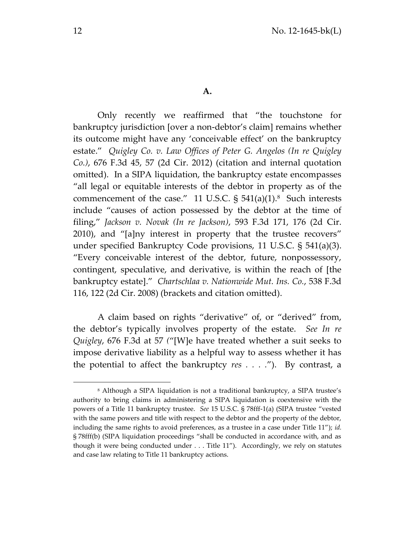Only recently we reaffirmed that "the touchstone for bankruptcy jurisdiction [over a non-debtor's claim] remains whether its outcome might have any 'conceivable effect' on the bankruptcy estate." *Quigley Co. v. Law Offices of Peter G. Angelos (In re Quigley Co.)*, 676 F.3d 45, 57 (2d Cir. 2012) (citation and internal quotation omitted). In a SIPA liquidation, the bankruptcy estate encompasses "all legal or equitable interests of the debtor in property as of the commencement of the case."  $11 \text{ U.S.C. }$ § 541(a)(1).<sup>8</sup> Such interests include "causes of action possessed by the debtor at the time of filing," *Jackson v. Novak (In re Jackson)*, 593 F.3d 171, 176 (2d Cir. 2010), and "[a]ny interest in property that the trustee recovers" under specified Bankruptcy Code provisions, 11 U.S.C. § 541(a)(3). "Every conceivable interest of the debtor, future, nonpossessory, contingent, speculative, and derivative, is within the reach of [the bankruptcy estate]." *Chartschlaa v. Nationwide Mut. Ins. Co.*, 538 F.3d 116, 122 (2d Cir. 2008) (brackets and citation omitted).

A claim based on rights "derivative" of, or "derived" from, the debtor's typically involves property of the estate. *See In re Quigley*, 676 F.3d at 57 *(*"[W]e have treated whether a suit seeks to impose derivative liability as a helpful way to assess whether it has the potential to affect the bankruptcy *res . . . .*"). By contrast, a

<sup>8</sup> Although a SIPA liquidation is not a traditional bankruptcy, a SIPA trustee's authority to bring claims in administering a SIPA liquidation is coextensive with the powers of a Title 11 bankruptcy trustee. *See* 15 U.S.C. § 78fff-1(a) (SIPA trustee "vested with the same powers and title with respect to the debtor and the property of the debtor, including the same rights to avoid preferences, as a trustee in a case under Title 11"); *id.*  § 78fff(b) (SIPA liquidation proceedings "shall be conducted in accordance with, and as though it were being conducted under . . . Title 11"). Accordingly, we rely on statutes and case law relating to Title 11 bankruptcy actions.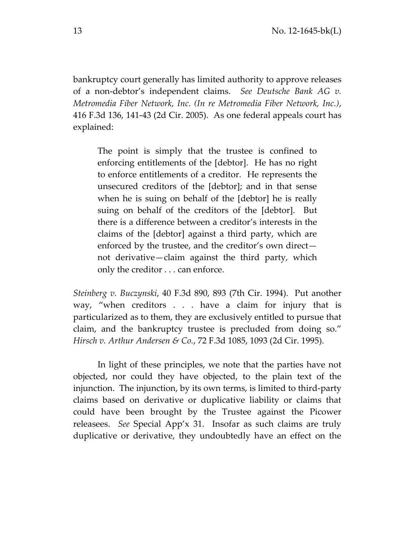bankruptcy court generally has limited authority to approve releases of a non-debtor's independent claims. *See Deutsche Bank AG v. Metromedia Fiber Network, Inc. (In re Metromedia Fiber Network, Inc.)*, 416 F.3d 136, 141-43 (2d Cir. 2005). As one federal appeals court has explained:

The point is simply that the trustee is confined to enforcing entitlements of the [debtor]. He has no right to enforce entitlements of a creditor. He represents the unsecured creditors of the [debtor]; and in that sense when he is suing on behalf of the [debtor] he is really suing on behalf of the creditors of the [debtor]. But there is a difference between a creditor's interests in the claims of the [debtor] against a third party, which are enforced by the trustee, and the creditor's own direct not derivative—claim against the third party, which only the creditor . . . can enforce.

*Steinberg v. Buczynski*, 40 F.3d 890, 893 (7th Cir. 1994). Put another way, "when creditors . . . have a claim for injury that is particularized as to them, they are exclusively entitled to pursue that claim, and the bankruptcy trustee is precluded from doing so." *Hirsch v. Arthur Andersen & Co.*, 72 F.3d 1085, 1093 (2d Cir. 1995).

In light of these principles, we note that the parties have not objected, nor could they have objected, to the plain text of the injunction. The injunction, by its own terms, is limited to third-party claims based on derivative or duplicative liability or claims that could have been brought by the Trustee against the Picower releasees. *See* Special App'x 31. Insofar as such claims are truly duplicative or derivative, they undoubtedly have an effect on the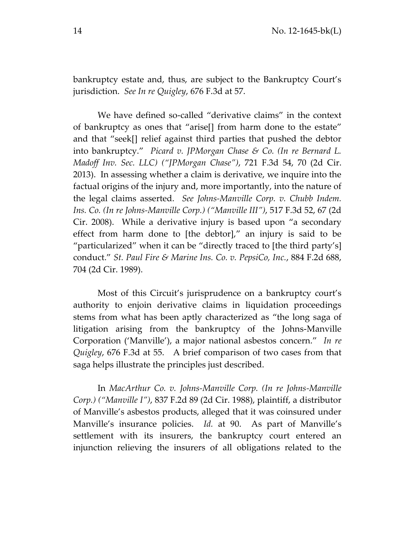bankruptcy estate and, thus, are subject to the Bankruptcy Court's jurisdiction. *See In re Quigley*, 676 F.3d at 57.

We have defined so-called "derivative claims" in the context of bankruptcy as ones that "arise[] from harm done to the estate" and that "seek[] relief against third parties that pushed the debtor into bankruptcy." *Picard v. JPMorgan Chase & Co. (In re Bernard L. Madoff Inv. Sec. LLC) ("JPMorgan Chase")*, 721 F.3d 54, 70 (2d Cir. 2013). In assessing whether a claim is derivative, we inquire into the factual origins of the injury and, more importantly, into the nature of the legal claims asserted. *See Johns-Manville Corp. v. Chubb Indem. Ins. Co. (In re Johns-Manville Corp.) ("Manville III")*, 517 F.3d 52, 67 (2d Cir. 2008). While a derivative injury is based upon "a secondary effect from harm done to [the debtor]," an injury is said to be "particularized" when it can be "directly traced to [the third party's] conduct." *St. Paul Fire & Marine Ins. Co. v. PepsiCo, Inc.*, 884 F.2d 688, 704 (2d Cir. 1989).

Most of this Circuit's jurisprudence on a bankruptcy court's authority to enjoin derivative claims in liquidation proceedings stems from what has been aptly characterized as "the long saga of litigation arising from the bankruptcy of the Johns-Manville Corporation ('Manville'), a major national asbestos concern." *In re Quigley*, 676 F.3d at 55. A brief comparison of two cases from that saga helps illustrate the principles just described.

In *MacArthur Co. v. Johns-Manville Corp. (In re Johns-Manville Corp.) ("Manville I")*, 837 F.2d 89 (2d Cir. 1988), plaintiff, a distributor of Manville's asbestos products, alleged that it was coinsured under Manville's insurance policies. *Id.* at 90. As part of Manville's settlement with its insurers, the bankruptcy court entered an injunction relieving the insurers of all obligations related to the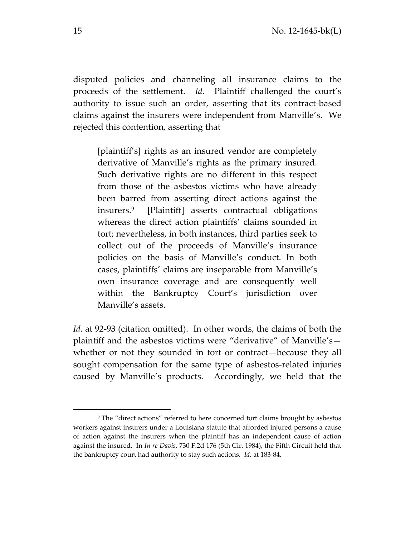disputed policies and channeling all insurance claims to the proceeds of the settlement. *Id.* Plaintiff challenged the court's authority to issue such an order, asserting that its contract-based claims against the insurers were independent from Manville's. We rejected this contention, asserting that

[plaintiff's] rights as an insured vendor are completely derivative of Manville's rights as the primary insured. Such derivative rights are no different in this respect from those of the asbestos victims who have already been barred from asserting direct actions against the insurers.<sup>9</sup> [Plaintiff] asserts contractual obligations whereas the direct action plaintiffs' claims sounded in tort; nevertheless, in both instances, third parties seek to collect out of the proceeds of Manville's insurance policies on the basis of Manville's conduct. In both cases, plaintiffs' claims are inseparable from Manville's own insurance coverage and are consequently well within the Bankruptcy Court's jurisdiction over Manville's assets.

*Id.* at 92-93 (citation omitted). In other words, the claims of both the plaintiff and the asbestos victims were "derivative" of Manville's whether or not they sounded in tort or contract—because they all sought compensation for the same type of asbestos-related injuries caused by Manville's products. Accordingly, we held that the

<sup>9</sup> The "direct actions" referred to here concerned tort claims brought by asbestos workers against insurers under a Louisiana statute that afforded injured persons a cause of action against the insurers when the plaintiff has an independent cause of action against the insured. In *In re Davis*, 730 F.2d 176 (5th Cir. 1984), the Fifth Circuit held that the bankruptcy court had authority to stay such actions. *Id.* at 183-84.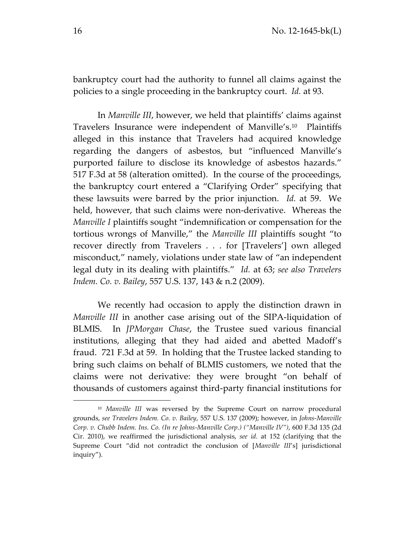bankruptcy court had the authority to funnel all claims against the policies to a single proceeding in the bankruptcy court. *Id.* at 93.

In *Manville III*, however, we held that plaintiffs' claims against Travelers Insurance were independent of Manville's. 10 Plaintiffs alleged in this instance that Travelers had acquired knowledge regarding the dangers of asbestos, but "influenced Manville's purported failure to disclose its knowledge of asbestos hazards." 517 F.3d at 58 (alteration omitted). In the course of the proceedings, the bankruptcy court entered a "Clarifying Order" specifying that these lawsuits were barred by the prior injunction. *Id.* at 59. We held, however, that such claims were non-derivative. Whereas the *Manville I* plaintiffs sought "indemnification or compensation for the tortious wrongs of Manville," the *Manville III* plaintiffs sought "to recover directly from Travelers . . . for [Travelers'] own alleged misconduct," namely, violations under state law of "an independent legal duty in its dealing with plaintiffs." *Id.* at 63; *see also Travelers Indem. Co. v. Bailey*, 557 U.S. 137, 143 & n.2 (2009).

We recently had occasion to apply the distinction drawn in *Manville III* in another case arising out of the SIPA-liquidation of BLMIS. In *JPMorgan Chase*, the Trustee sued various financial institutions, alleging that they had aided and abetted Madoff's fraud. 721 F.3d at 59. In holding that the Trustee lacked standing to bring such claims on behalf of BLMIS customers, we noted that the claims were not derivative: they were brought "on behalf of thousands of customers against third-party financial institutions for

<sup>10</sup> *Manville III* was reversed by the Supreme Court on narrow procedural grounds, *see Travelers Indem. Co. v. Bailey*, 557 U.S. 137 (2009); however, in *Johns-Manville Corp. v. Chubb Indem. Ins. Co. (In re Johns-Manville Corp.) ("Manville IV")*, 600 F.3d 135 (2d Cir. 2010), we reaffirmed the jurisdictional analysis, *see id.* at 152 (clarifying that the Supreme Court "did not contradict the conclusion of [*Manville III*'s] jurisdictional inquiry").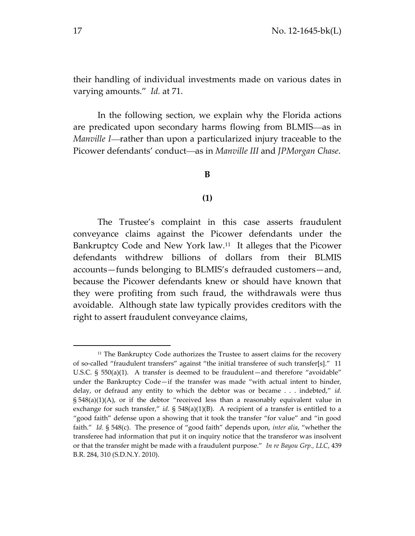their handling of individual investments made on various dates in varying amounts." *Id.* at 71.

In the following section, we explain why the Florida actions are predicated upon secondary harms flowing from BLMIS—as in *Manville I*—rather than upon a particularized injury traceable to the Picower defendants' conduct-as in *Manville III* and *JPMorgan Chase*.

## **B**

## **(1)**

The Trustee's complaint in this case asserts fraudulent conveyance claims against the Picower defendants under the Bankruptcy Code and New York law.<sup>11</sup> It alleges that the Picower defendants withdrew billions of dollars from their BLMIS accounts—funds belonging to BLMIS's defrauded customers—and, because the Picower defendants knew or should have known that they were profiting from such fraud, the withdrawals were thus avoidable. Although state law typically provides creditors with the right to assert fraudulent conveyance claims,

<sup>&</sup>lt;sup>11</sup> The Bankruptcy Code authorizes the Trustee to assert claims for the recovery of so-called "fraudulent transfers" against "the initial transferee of such transfer[s]." 11 U.S.C. § 550(a)(1). A transfer is deemed to be fraudulent—and therefore "avoidable" under the Bankruptcy Code—if the transfer was made "with actual intent to hinder, delay, or defraud any entity to which the debtor was or became . . . indebted," *id.*  $\S$  548(a)(1)(A), or if the debtor "received less than a reasonably equivalent value in exchange for such transfer," *id.*  $\S$  548(a)(1)(B). A recipient of a transfer is entitled to a "good faith" defense upon a showing that it took the transfer "for value" and "in good faith." *Id.* § 548(c). The presence of "good faith" depends upon, *inter alia*, "whether the transferee had information that put it on inquiry notice that the transferor was insolvent or that the transfer might be made with a fraudulent purpose." *In re Bayou Grp., LLC*, 439 B.R. 284, 310 (S.D.N.Y. 2010).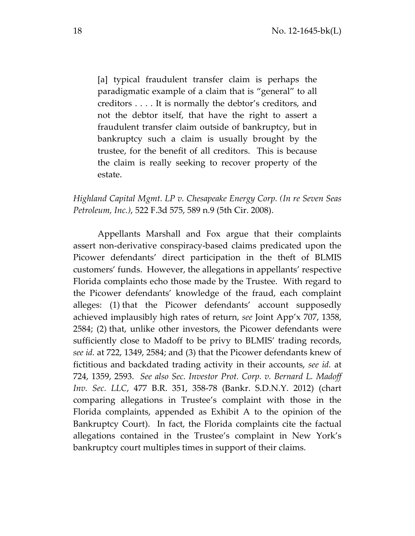[a] typical fraudulent transfer claim is perhaps the paradigmatic example of a claim that is "general" to all creditors . . . . It is normally the debtor's creditors, and not the debtor itself, that have the right to assert a fraudulent transfer claim outside of bankruptcy, but in bankruptcy such a claim is usually brought by the trustee, for the benefit of all creditors. This is because the claim is really seeking to recover property of the estate.

*Highland Capital Mgmt. LP v. Chesapeake Energy Corp. (In re Seven Seas Petroleum, Inc.)*, 522 F.3d 575, 589 n.9 (5th Cir. 2008).

Appellants Marshall and Fox argue that their complaints assert non-derivative conspiracy-based claims predicated upon the Picower defendants' direct participation in the theft of BLMIS customers' funds. However, the allegations in appellants' respective Florida complaints echo those made by the Trustee. With regard to the Picower defendants' knowledge of the fraud, each complaint alleges: (1) that the Picower defendants' account supposedly achieved implausibly high rates of return, *see* Joint App'x 707, 1358, 2584; (2) that, unlike other investors, the Picower defendants were sufficiently close to Madoff to be privy to BLMIS' trading records, *see id.* at 722, 1349, 2584; and (3) that the Picower defendants knew of fictitious and backdated trading activity in their accounts, *see id.* at 724, 1359, 2593. *See also Sec. Investor Prot. Corp. v. Bernard L. Madoff Inv. Sec. LLC*, 477 B.R. 351, 358-78 (Bankr. S.D.N.Y. 2012) (chart comparing allegations in Trustee's complaint with those in the Florida complaints, appended as Exhibit A to the opinion of the Bankruptcy Court). In fact, the Florida complaints cite the factual allegations contained in the Trustee's complaint in New York's bankruptcy court multiples times in support of their claims.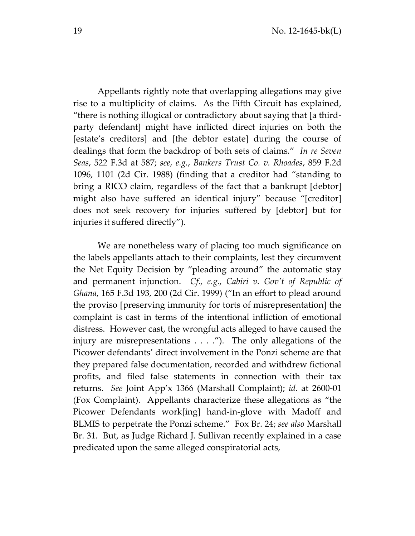Appellants rightly note that overlapping allegations may give rise to a multiplicity of claims. As the Fifth Circuit has explained, "there is nothing illogical or contradictory about saying that [a thirdparty defendant] might have inflicted direct injuries on both the [estate's creditors] and [the debtor estate] during the course of dealings that form the backdrop of both sets of claims." *In re Seven Seas*, 522 F.3d at 587; *see, e.g.*, *Bankers Trust Co. v. Rhoades*, 859 F.2d 1096, 1101 (2d Cir. 1988) (finding that a creditor had "standing to bring a RICO claim, regardless of the fact that a bankrupt [debtor] might also have suffered an identical injury" because "[creditor] does not seek recovery for injuries suffered by [debtor] but for injuries it suffered directly").

We are nonetheless wary of placing too much significance on the labels appellants attach to their complaints, lest they circumvent the Net Equity Decision by "pleading around" the automatic stay and permanent injunction. *Cf., e.g.*, *Cabiri v. Gov't of Republic of Ghana*, 165 F.3d 193, 200 (2d Cir. 1999) ("In an effort to plead around the proviso [preserving immunity for torts of misrepresentation] the complaint is cast in terms of the intentional infliction of emotional distress. However cast, the wrongful acts alleged to have caused the injury are misrepresentations . . . ."). The only allegations of the Picower defendants' direct involvement in the Ponzi scheme are that they prepared false documentation, recorded and withdrew fictional profits, and filed false statements in connection with their tax returns. *See* Joint App'x 1366 (Marshall Complaint); *id.* at 2600-01 (Fox Complaint). Appellants characterize these allegations as "the Picower Defendants work[ing] hand-in-glove with Madoff and BLMIS to perpetrate the Ponzi scheme." Fox Br. 24; *see also* Marshall Br. 31. But, as Judge Richard J. Sullivan recently explained in a case predicated upon the same alleged conspiratorial acts,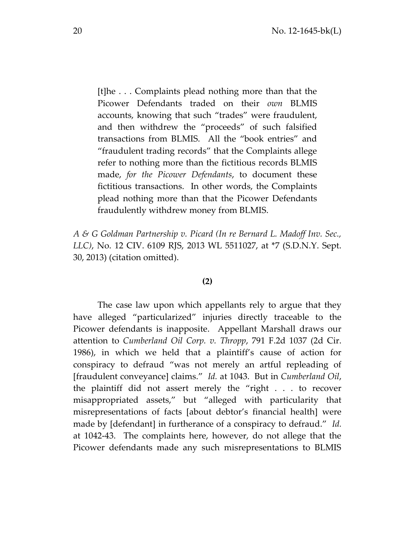[t]he . . . Complaints plead nothing more than that the Picower Defendants traded on their *own* BLMIS accounts, knowing that such "trades" were fraudulent, and then withdrew the "proceeds" of such falsified transactions from BLMIS. All the "book entries" and "fraudulent trading records" that the Complaints allege refer to nothing more than the fictitious records BLMIS made, *for the Picower Defendants*, to document these fictitious transactions. In other words, the Complaints plead nothing more than that the Picower Defendants fraudulently withdrew money from BLMIS.

*A & G Goldman Partnership v. Picard (In re Bernard L. Madoff Inv. Sec., LLC)*, No. 12 CIV. 6109 RJS, 2013 WL 5511027, at \*7 (S.D.N.Y. Sept. 30, 2013) (citation omitted).

#### **(2)**

The case law upon which appellants rely to argue that they have alleged "particularized" injuries directly traceable to the Picower defendants is inapposite. Appellant Marshall draws our attention to *Cumberland Oil Corp. v. Thropp*, 791 F.2d 1037 (2d Cir. 1986), in which we held that a plaintiff's cause of action for conspiracy to defraud "was not merely an artful repleading of [fraudulent conveyance] claims." *Id.* at 1043. But in *Cumberland Oil*, the plaintiff did not assert merely the "right . . . to recover misappropriated assets," but "alleged with particularity that misrepresentations of facts [about debtor's financial health] were made by [defendant] in furtherance of a conspiracy to defraud." *Id.* at 1042-43. The complaints here, however, do not allege that the Picower defendants made any such misrepresentations to BLMIS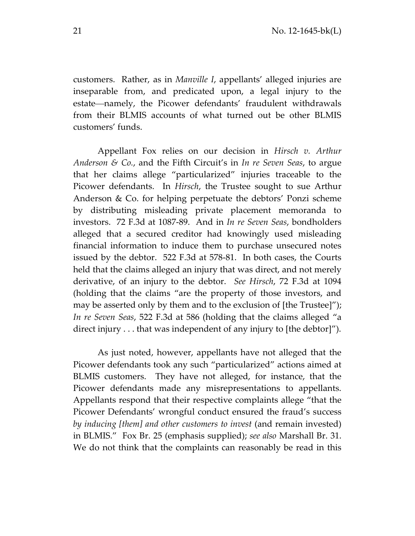customers. Rather, as in *Manville I*, appellants' alleged injuries are inseparable from, and predicated upon, a legal injury to the estate—namely, the Picower defendants' fraudulent withdrawals from their BLMIS accounts of what turned out be other BLMIS customers' funds.

Appellant Fox relies on our decision in *Hirsch v. Arthur Anderson & Co.*, and the Fifth Circuit's in *In re Seven Seas*, to argue that her claims allege "particularized" injuries traceable to the Picower defendants. In *Hirsch*, the Trustee sought to sue Arthur Anderson & Co. for helping perpetuate the debtors' Ponzi scheme by distributing misleading private placement memoranda to investors. 72 F.3d at 1087-89.And in *In re Seven Seas*, bondholders alleged that a secured creditor had knowingly used misleading financial information to induce them to purchase unsecured notes issued by the debtor. 522 F.3d at 578-81. In both cases, the Courts held that the claims alleged an injury that was direct, and not merely derivative, of an injury to the debtor. *See Hirsch*, 72 F.3d at 1094 (holding that the claims "are the property of those investors, and may be asserted only by them and to the exclusion of [the Trustee]"); *In re Seven Seas*, 522 F.3d at 586 (holding that the claims alleged "a direct injury . . . that was independent of any injury to [the debtor]").

As just noted, however, appellants have not alleged that the Picower defendants took any such "particularized" actions aimed at BLMIS customers. They have not alleged, for instance, that the Picower defendants made any misrepresentations to appellants. Appellants respond that their respective complaints allege "that the Picower Defendants' wrongful conduct ensured the fraud's success *by inducing [them] and other customers to invest* (and remain invested) in BLMIS." Fox Br. 25 (emphasis supplied); *see also* Marshall Br. 31. We do not think that the complaints can reasonably be read in this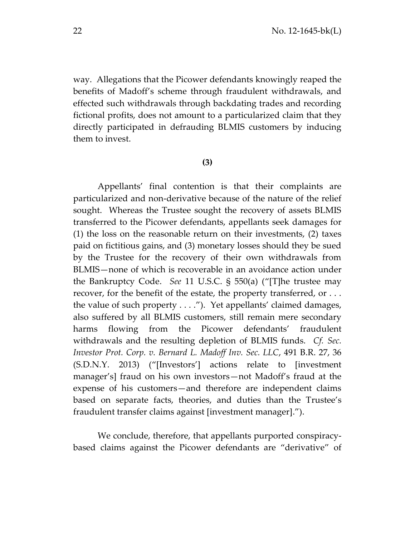way. Allegations that the Picower defendants knowingly reaped the benefits of Madoff's scheme through fraudulent withdrawals, and effected such withdrawals through backdating trades and recording fictional profits, does not amount to a particularized claim that they directly participated in defrauding BLMIS customers by inducing them to invest.

#### **(3)**

Appellants' final contention is that their complaints are particularized and non-derivative because of the nature of the relief sought. Whereas the Trustee sought the recovery of assets BLMIS transferred to the Picower defendants, appellants seek damages for (1) the loss on the reasonable return on their investments, (2) taxes paid on fictitious gains, and (3) monetary losses should they be sued by the Trustee for the recovery of their own withdrawals from BLMIS—none of which is recoverable in an avoidance action under the Bankruptcy Code. *See* 11 U.S.C. § 550(a) ("[T]he trustee may recover, for the benefit of the estate, the property transferred, or . . . the value of such property . . . ."). Yet appellants' claimed damages, also suffered by all BLMIS customers, still remain mere secondary harms flowing from the Picower defendants' fraudulent withdrawals and the resulting depletion of BLMIS funds. *Cf. Sec. Investor Prot. Corp. v. Bernard L. Madoff Inv. Sec. LLC*, 491 B.R. 27, 36 (S.D.N.Y. 2013) ("[Investors'] actions relate to [investment manager's] fraud on his own investors—not Madoff's fraud at the expense of his customers—and therefore are independent claims based on separate facts, theories, and duties than the Trustee's fraudulent transfer claims against [investment manager].").

We conclude, therefore, that appellants purported conspiracybased claims against the Picower defendants are "derivative" of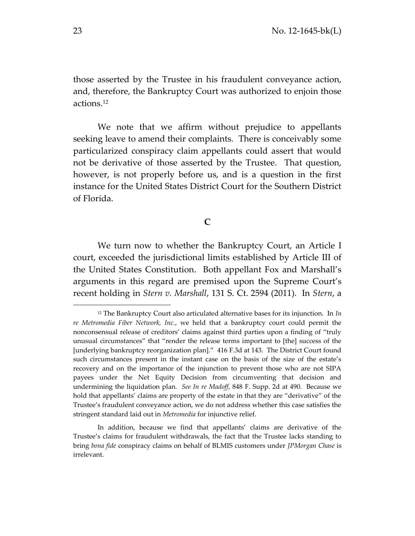those asserted by the Trustee in his fraudulent conveyance action, and, therefore, the Bankruptcy Court was authorized to enjoin those actions. 12

We note that we affirm without prejudice to appellants seeking leave to amend their complaints. There is conceivably some particularized conspiracy claim appellants could assert that would not be derivative of those asserted by the Trustee. That question, however, is not properly before us, and is a question in the first instance for the United States District Court for the Southern District of Florida.

**C**

We turn now to whether the Bankruptcy Court, an Article I court, exceeded the jurisdictional limits established by Article III of the United States Constitution. Both appellant Fox and Marshall's arguments in this regard are premised upon the Supreme Court's recent holding in *Stern v. Marshall*, 131 S. Ct. 2594 (2011). In *Stern*, a

<sup>&</sup>lt;sup>12</sup> The Bankruptcy Court also articulated alternative bases for its injunction. In  $In$ *re Metromedia Fiber Network, Inc.*, we held that a bankruptcy court could permit the nonconsensual release of creditors' claims against third parties upon a finding of "truly unusual circumstances" that "render the release terms important to [the] success of the [underlying bankruptcy reorganization plan]." 416 F.3d at 143. The District Court found such circumstances present in the instant case on the basis of the size of the estate's recovery and on the importance of the injunction to prevent those who are not SIPA payees under the Net Equity Decision from circumventing that decision and undermining the liquidation plan. *See In re Madoff*, 848 F. Supp. 2d at 490. Because we hold that appellants' claims are property of the estate in that they are "derivative" of the Trustee's fraudulent conveyance action, we do not address whether this case satisfies the stringent standard laid out in *Metromedia* for injunctive relief.

In addition, because we find that appellants' claims are derivative of the Trustee's claims for fraudulent withdrawals, the fact that the Trustee lacks standing to bring *bona fide* conspiracy claims on behalf of BLMIS customers under *JPMorgan Chase* is irrelevant.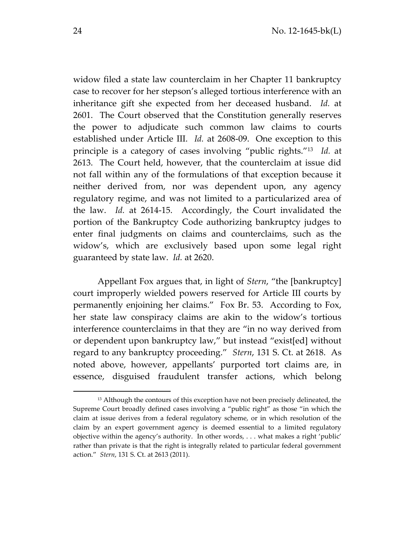widow filed a state law counterclaim in her Chapter 11 bankruptcy case to recover for her stepson's alleged tortious interference with an inheritance gift she expected from her deceased husband. *Id.* at 2601. The Court observed that the Constitution generally reserves the power to adjudicate such common law claims to courts established under Article III. *Id.* at 2608-09. One exception to this principle is a category of cases involving "public rights." 13 *Id.* at 2613. The Court held, however, that the counterclaim at issue did not fall within any of the formulations of that exception because it neither derived from, nor was dependent upon, any agency regulatory regime, and was not limited to a particularized area of the law. *Id.* at 2614-15. Accordingly, the Court invalidated the portion of the Bankruptcy Code authorizing bankruptcy judges to enter final judgments on claims and counterclaims, such as the widow's, which are exclusively based upon some legal right guaranteed by state law. *Id.* at 2620.

Appellant Fox argues that, in light of *Stern*, "the [bankruptcy] court improperly wielded powers reserved for Article III courts by permanently enjoining her claims." Fox Br. 53. According to Fox, her state law conspiracy claims are akin to the widow's tortious interference counterclaims in that they are "in no way derived from or dependent upon bankruptcy law," but instead "exist[ed] without regard to any bankruptcy proceeding." *Stern*, 131 S. Ct. at 2618. As noted above, however, appellants' purported tort claims are, in essence, disguised fraudulent transfer actions, which belong

l

<sup>&</sup>lt;sup>13</sup> Although the contours of this exception have not been precisely delineated, the Supreme Court broadly defined cases involving a "public right" as those "in which the claim at issue derives from a federal regulatory scheme, or in which resolution of the claim by an expert government agency is deemed essential to a limited regulatory objective within the agency's authority. In other words, . . . what makes a right 'public' rather than private is that the right is integrally related to particular federal government action." *Stern*, 131 S. Ct. at 2613 (2011).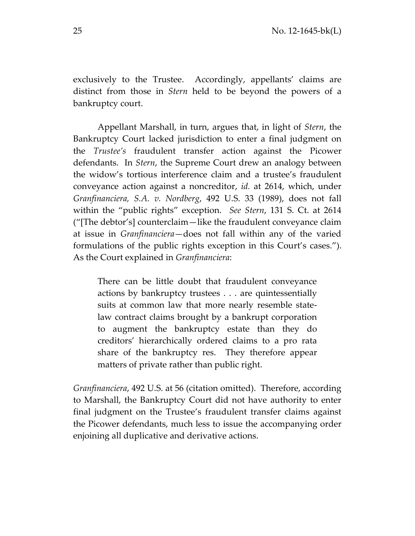exclusively to the Trustee. Accordingly, appellants' claims are distinct from those in *Stern* held to be beyond the powers of a bankruptcy court.

Appellant Marshall, in turn, argues that, in light of *Stern*, the Bankruptcy Court lacked jurisdiction to enter a final judgment on the *Trustee's* fraudulent transfer action against the Picower defendants. In *Stern*, the Supreme Court drew an analogy between the widow's tortious interference claim and a trustee's fraudulent conveyance action against a noncreditor, *id.* at 2614, which, under *Granfinanciera, S.A. v. Nordberg*, 492 U.S. 33 (1989), does not fall within the "public rights" exception. *See Stern*, 131 S. Ct. at 2614 ("[The debtor's] counterclaim—like the fraudulent conveyance claim at issue in *Granfinanciera*—does not fall within any of the varied formulations of the public rights exception in this Court's cases."). As the Court explained in *Granfinanciera*:

There can be little doubt that fraudulent conveyance actions by bankruptcy trustees . . . are quintessentially suits at common law that more nearly resemble statelaw contract claims brought by a bankrupt corporation to augment the bankruptcy estate than they do creditors' hierarchically ordered claims to a pro rata share of the bankruptcy res. They therefore appear matters of private rather than public right.

*Granfinanciera*, 492 U.S. at 56 (citation omitted). Therefore, according to Marshall, the Bankruptcy Court did not have authority to enter final judgment on the Trustee's fraudulent transfer claims against the Picower defendants, much less to issue the accompanying order enjoining all duplicative and derivative actions.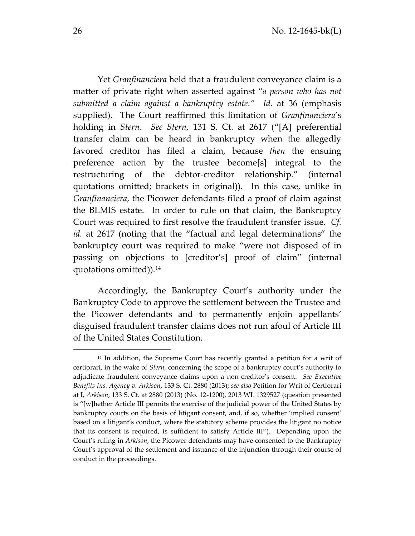Yet *Granfinanciera* held that a fraudulent conveyance claim is a matter of private right when asserted against "*a person who has not submitted a claim against a bankruptcy estate." Id.* at 36 (emphasis supplied). The Court reaffirmed this limitation of *Granfinanciera*'s holding in *Stern*. *See Stern*, 131 S. Ct. at 2617 ("[A] preferential transfer claim can be heard in bankruptcy when the allegedly favored creditor has filed a claim, because *then* the ensuing preference action by the trustee become[s] integral to the restructuring of the debtor-creditor relationship." (internal quotations omitted; brackets in original)). In this case, unlike in *Granfinanciera*, the Picower defendants filed a proof of claim against the BLMIS estate. In order to rule on that claim, the Bankruptcy Court was required to first resolve the fraudulent transfer issue. *Cf. id.* at 2617 (noting that the "factual and legal determinations" the bankruptcy court was required to make "were not disposed of in passing on objections to [creditor's] proof of claim" (internal quotations omitted)).<sup>14</sup>

Accordingly, the Bankruptcy Court's authority under the Bankruptcy Code to approve the settlement between the Trustee and the Picower defendants and to permanently enjoin appellants' disguised fraudulent transfer claims does not run afoul of Article III of the United States Constitution.

<sup>&</sup>lt;sup>14</sup> In addition, the Supreme Court has recently granted a petition for a writ of certiorari, in the wake of *Stern*, concerning the scope of a bankruptcy court's authority to adjudicate fraudulent conveyance claims upon a non-creditor's consent. *See Executive Benefits Ins. Agency v. Arkison*, 133 S. Ct. 2880 (2013); *see also* Petition for Writ of Certiorari at I, *Arkison*, 133 S. Ct. at 2880 (2013) (No. 12-1200)*,* 2013 WL 1329527 (question presented is "[w]hether Article III permits the exercise of the judicial power of the United States by bankruptcy courts on the basis of litigant consent, and, if so, whether 'implied consent' based on a litigant's conduct, where the statutory scheme provides the litigant no notice that its consent is required, is sufficient to satisfy Article III"). Depending upon the Court's ruling in *Arkison*, the Picower defendants may have consented to the Bankruptcy Court's approval of the settlement and issuance of the injunction through their course of conduct in the proceedings.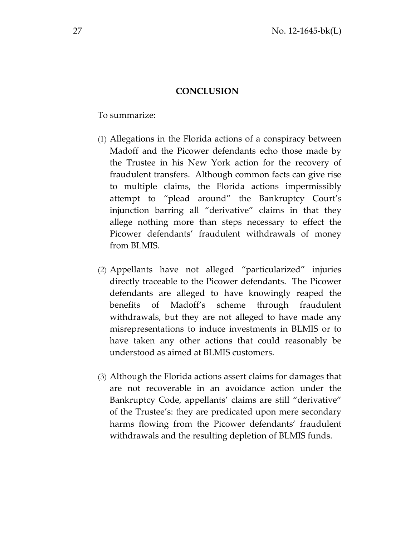# **CONCLUSION**

To summarize:

- (1) Allegations in the Florida actions of a conspiracy between Madoff and the Picower defendants echo those made by the Trustee in his New York action for the recovery of fraudulent transfers. Although common facts can give rise to multiple claims, the Florida actions impermissibly attempt to "plead around" the Bankruptcy Court's injunction barring all "derivative" claims in that they allege nothing more than steps necessary to effect the Picower defendants' fraudulent withdrawals of money from BLMIS.
- (2) Appellants have not alleged "particularized" injuries directly traceable to the Picower defendants. The Picower defendants are alleged to have knowingly reaped the benefits of Madoff's scheme through fraudulent withdrawals, but they are not alleged to have made any misrepresentations to induce investments in BLMIS or to have taken any other actions that could reasonably be understood as aimed at BLMIS customers.
- (3) Although the Florida actions assert claims for damages that are not recoverable in an avoidance action under the Bankruptcy Code, appellants' claims are still "derivative" of the Trustee's: they are predicated upon mere secondary harms flowing from the Picower defendants' fraudulent withdrawals and the resulting depletion of BLMIS funds.